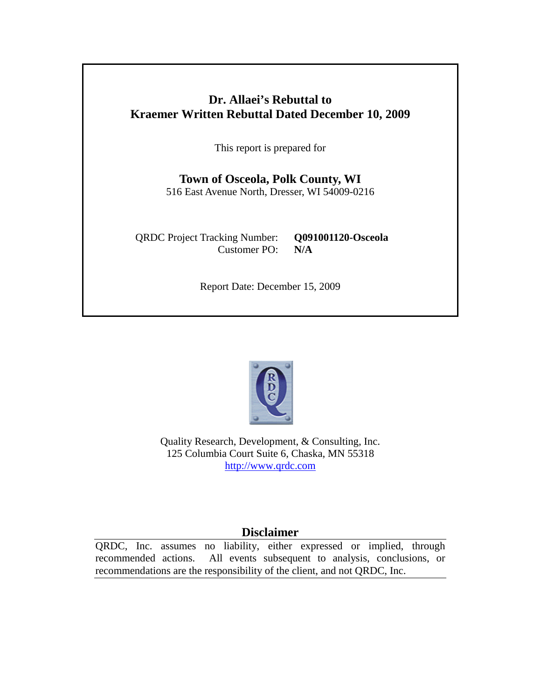## **Dr. Allaei's Rebuttal to Kraemer Written Rebuttal Dated December 10, 2009**

This report is prepared for

**Town of Osceola, Polk County, WI** 516 East Avenue North, Dresser, WI 54009-0216

QRDC Project Tracking Number: **Q091001120-Osceola** Customer PO: **N/A**

Report Date: December 15, 2009



Quality Research, Development, & Consulting, Inc. 125 Columbia Court Suite 6, Chaska, MN 55318 [http://www.qrdc.com](http://www.qrdc.com/)

## **Disclaimer**

QRDC, Inc. assumes no liability, either expressed or implied, through recommended actions. All events subsequent to analysis, conclusions, or recommendations are the responsibility of the client, and not QRDC, Inc.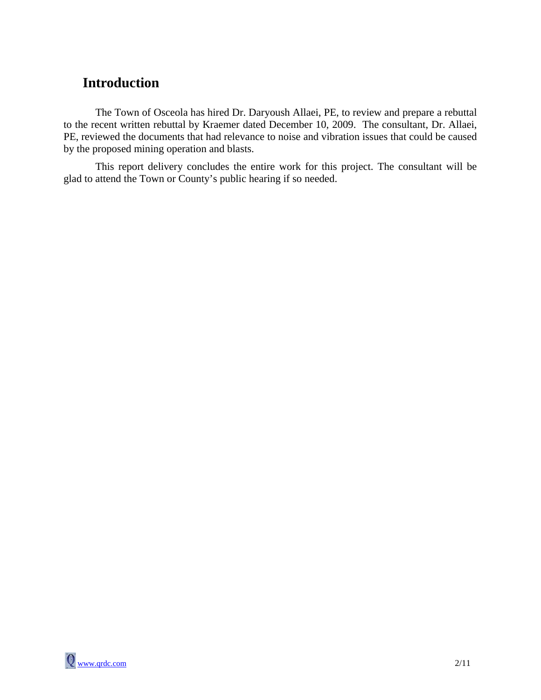## **Introduction**

The Town of Osceola has hired Dr. Daryoush Allaei, PE, to review and prepare a rebuttal to the recent written rebuttal by Kraemer dated December 10, 2009. The consultant, Dr. Allaei, PE, reviewed the documents that had relevance to noise and vibration issues that could be caused by the proposed mining operation and blasts.

This report delivery concludes the entire work for this project. The consultant will be glad to attend the Town or County's public hearing if so needed.

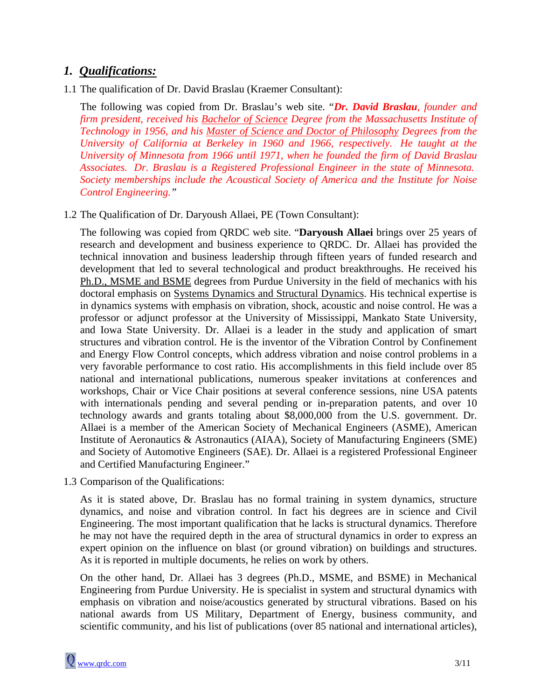## *1. Qualifications:*

1.1 The qualification of Dr. David Braslau (Kraemer Consultant):

The following was copied from Dr. Braslau's web site. "*Dr. David Braslau, founder and firm president, received his Bachelor of Science Degree from the Massachusetts Institute of Technology in 1956, and his Master of Science and Doctor of Philosophy Degrees from the University of California at Berkeley in 1960 and 1966, respectively. He taught at the University of Minnesota from 1966 until 1971, when he founded the firm of David Braslau Associates. Dr. Braslau is a Registered Professional Engineer in the state of Minnesota. Society memberships include the Acoustical Society of America and the Institute for Noise Control Engineering."*

1.2 The Qualification of Dr. Daryoush Allaei, PE (Town Consultant):

The following was copied from QRDC web site. "**Daryoush Allaei** brings over 25 years of research and development and business experience to QRDC. Dr. Allaei has provided the technical innovation and business leadership through fifteen years of funded research and development that led to several technological and product breakthroughs. He received his Ph.D., MSME and BSME degrees from Purdue University in the field of mechanics with his doctoral emphasis on **Systems Dynamics and Structural Dynamics**. His technical expertise is in dynamics systems with emphasis on vibration, shock, acoustic and noise control. He was a professor or adjunct professor at the University of Mississippi, Mankato State University, and Iowa State University. Dr. Allaei is a leader in the study and application of smart structures and vibration control. He is the inventor of the Vibration Control by Confinement and Energy Flow Control concepts, which address vibration and noise control problems in a very favorable performance to cost ratio. His accomplishments in this field include over 85 national and international publications, numerous speaker invitations at conferences and workshops, Chair or Vice Chair positions at several conference sessions, nine USA patents with internationals pending and several pending or in-preparation patents, and over 10 technology awards and grants totaling about \$8,000,000 from the U.S. government. Dr. Allaei is a member of the American Society of Mechanical Engineers (ASME), American Institute of Aeronautics & Astronautics (AIAA), Society of Manufacturing Engineers (SME) and Society of Automotive Engineers (SAE). Dr. Allaei is a registered Professional Engineer and Certified Manufacturing Engineer."

1.3 Comparison of the Qualifications:

As it is stated above, Dr. Braslau has no formal training in system dynamics, structure dynamics, and noise and vibration control. In fact his degrees are in science and Civil Engineering. The most important qualification that he lacks is structural dynamics. Therefore he may not have the required depth in the area of structural dynamics in order to express an expert opinion on the influence on blast (or ground vibration) on buildings and structures. As it is reported in multiple documents, he relies on work by others.

On the other hand, Dr. Allaei has 3 degrees (Ph.D., MSME, and BSME) in Mechanical Engineering from Purdue University. He is specialist in system and structural dynamics with emphasis on vibration and noise/acoustics generated by structural vibrations. Based on his national awards from US Military, Department of Energy, business community, and scientific community, and his list of publications (over 85 national and international articles),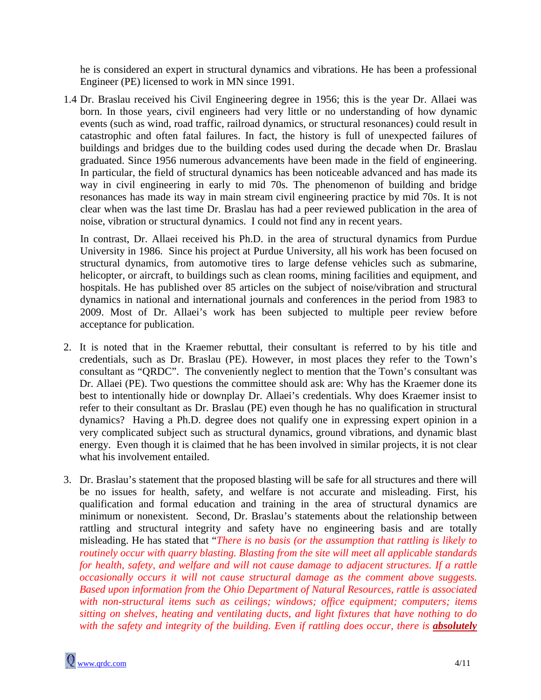he is considered an expert in structural dynamics and vibrations. He has been a professional Engineer (PE) licensed to work in MN since 1991.

1.4 Dr. Braslau received his Civil Engineering degree in 1956; this is the year Dr. Allaei was born. In those years, civil engineers had very little or no understanding of how dynamic events (such as wind, road traffic, railroad dynamics, or structural resonances) could result in catastrophic and often fatal failures. In fact, the history is full of unexpected failures of buildings and bridges due to the building codes used during the decade when Dr. Braslau graduated. Since 1956 numerous advancements have been made in the field of engineering. In particular, the field of structural dynamics has been noticeable advanced and has made its way in civil engineering in early to mid 70s. The phenomenon of building and bridge resonances has made its way in main stream civil engineering practice by mid 70s. It is not clear when was the last time Dr. Braslau has had a peer reviewed publication in the area of noise, vibration or structural dynamics. I could not find any in recent years.

In contrast, Dr. Allaei received his Ph.D. in the area of structural dynamics from Purdue University in 1986. Since his project at Purdue University, all his work has been focused on structural dynamics, from automotive tires to large defense vehicles such as submarine, helicopter, or aircraft, to buildings such as clean rooms, mining facilities and equipment, and hospitals. He has published over 85 articles on the subject of noise/vibration and structural dynamics in national and international journals and conferences in the period from 1983 to 2009. Most of Dr. Allaei's work has been subjected to multiple peer review before acceptance for publication.

- 2. It is noted that in the Kraemer rebuttal, their consultant is referred to by his title and credentials, such as Dr. Braslau (PE). However, in most places they refer to the Town's consultant as "QRDC". The conveniently neglect to mention that the Town's consultant was Dr. Allaei (PE). Two questions the committee should ask are: Why has the Kraemer done its best to intentionally hide or downplay Dr. Allaei's credentials. Why does Kraemer insist to refer to their consultant as Dr. Braslau (PE) even though he has no qualification in structural dynamics? Having a Ph.D. degree does not qualify one in expressing expert opinion in a very complicated subject such as structural dynamics, ground vibrations, and dynamic blast energy. Even though it is claimed that he has been involved in similar projects, it is not clear what his involvement entailed.
- 3. Dr. Braslau's statement that the proposed blasting will be safe for all structures and there will be no issues for health, safety, and welfare is not accurate and misleading. First, his qualification and formal education and training in the area of structural dynamics are minimum or nonexistent. Second, Dr. Braslau's statements about the relationship between rattling and structural integrity and safety have no engineering basis and are totally misleading. He has stated that "*There is no basis (or the assumption that rattling is likely to routinely occur with quarry blasting. Blasting from the site will meet all applicable standards for health, safety, and welfare and will not cause damage to adjacent structures. If a rattle occasionally occurs it will not cause structural damage as the comment above suggests. Based upon information from the Ohio Department of Natural Resources, rattle is associated with non-structural items such as ceilings; windows; office equipment; computers; items sitting on shelves, heating and ventilating ducts, and light fixtures that have nothing to do with the safety and integrity of the building. Even if rattling does occur, there is absolutely*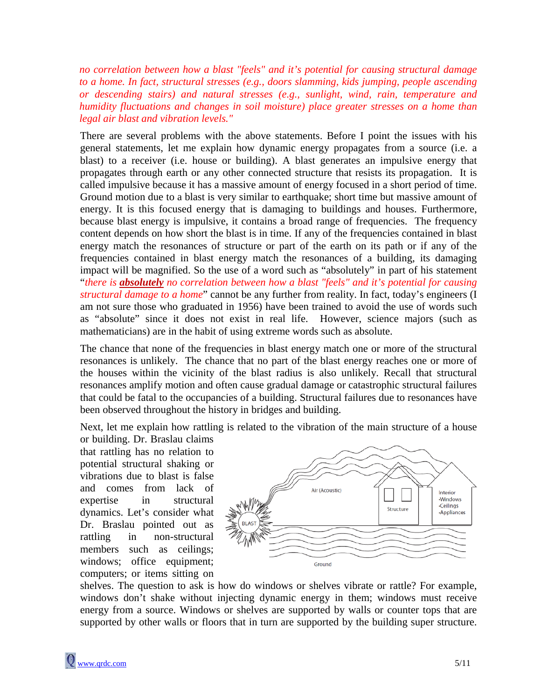*no correlation between how a blast "feels" and it's potential for causing structural damage to a home. In fact, structural stresses (e.g., doors slamming, kids jumping, people ascending or descending stairs) and natural stresses (e.g., sunlight, wind, rain, temperature and humidity fluctuations and changes in soil moisture) place greater stresses on a home than legal air blast and vibration levels."*

There are several problems with the above statements. Before I point the issues with his general statements, let me explain how dynamic energy propagates from a source (i.e. a blast) to a receiver (i.e. house or building). A blast generates an impulsive energy that propagates through earth or any other connected structure that resists its propagation. It is called impulsive because it has a massive amount of energy focused in a short period of time. Ground motion due to a blast is very similar to earthquake; short time but massive amount of energy. It is this focused energy that is damaging to buildings and houses. Furthermore, because blast energy is impulsive, it contains a broad range of frequencies. The frequency content depends on how short the blast is in time. If any of the frequencies contained in blast energy match the resonances of structure or part of the earth on its path or if any of the frequencies contained in blast energy match the resonances of a building, its damaging impact will be magnified. So the use of a word such as "absolutely" in part of his statement "*there is absolutely no correlation between how a blast "feels" and it's potential for causing structural damage to a home*" cannot be any further from reality. In fact, today's engineers (I am not sure those who graduated in 1956) have been trained to avoid the use of words such as "absolute" since it does not exist in real life. However, science majors (such as mathematicians) are in the habit of using extreme words such as absolute.

The chance that none of the frequencies in blast energy match one or more of the structural resonances is unlikely. The chance that no part of the blast energy reaches one or more of the houses within the vicinity of the blast radius is also unlikely. Recall that structural resonances amplify motion and often cause gradual damage or catastrophic structural failures that could be fatal to the occupancies of a building. Structural failures due to resonances have been observed throughout the history in bridges and building.

Next, let me explain how rattling is related to the vibration of the main structure of a house

or building. Dr. Braslau claims that rattling has no relation to potential structural shaking or vibrations due to blast is false and comes from lack of expertise in structural dynamics. Let's consider what Dr. Braslau pointed out as rattling in non-structural members such as ceilings; windows; office equipment; computers; or items sitting on



shelves. The question to ask is how do windows or shelves vibrate or rattle? For example, windows don't shake without injecting dynamic energy in them; windows must receive energy from a source. Windows or shelves are supported by walls or counter tops that are supported by other walls or floors that in turn are supported by the building super structure.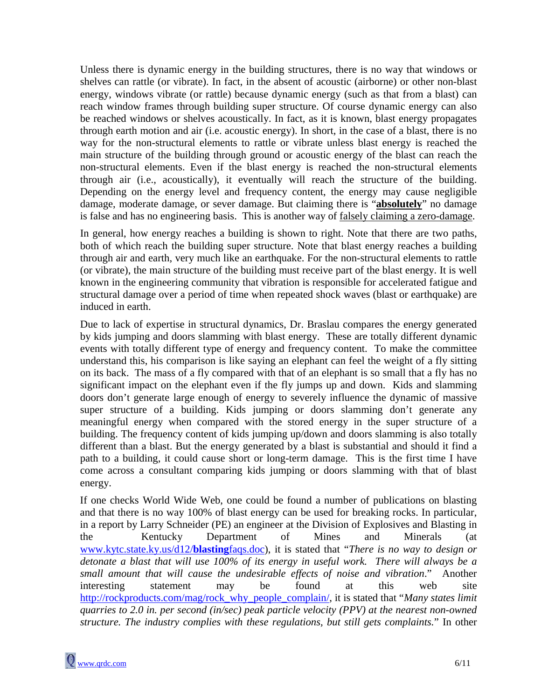Unless there is dynamic energy in the building structures, there is no way that windows or shelves can rattle (or vibrate). In fact, in the absent of acoustic (airborne) or other non-blast energy, windows vibrate (or rattle) because dynamic energy (such as that from a blast) can reach window frames through building super structure. Of course dynamic energy can also be reached windows or shelves acoustically. In fact, as it is known, blast energy propagates through earth motion and air (i.e. acoustic energy). In short, in the case of a blast, there is no way for the non-structural elements to rattle or vibrate unless blast energy is reached the main structure of the building through ground or acoustic energy of the blast can reach the non-structural elements. Even if the blast energy is reached the non-structural elements through air (i.e., acoustically), it eventually will reach the structure of the building. Depending on the energy level and frequency content, the energy may cause negligible damage, moderate damage, or sever damage. But claiming there is "**absolutely**" no damage is false and has no engineering basis. This is another way of falsely claiming a zero-damage.

In general, how energy reaches a building is shown to right. Note that there are two paths, both of which reach the building super structure. Note that blast energy reaches a building through air and earth, very much like an earthquake. For the non-structural elements to rattle (or vibrate), the main structure of the building must receive part of the blast energy. It is well known in the engineering community that vibration is responsible for accelerated fatigue and structural damage over a period of time when repeated shock waves (blast or earthquake) are induced in earth.

Due to lack of expertise in structural dynamics, Dr. Braslau compares the energy generated by kids jumping and doors slamming with blast energy. These are totally different dynamic events with totally different type of energy and frequency content. To make the committee understand this, his comparison is like saying an elephant can feel the weight of a fly sitting on its back. The mass of a fly compared with that of an elephant is so small that a fly has no significant impact on the elephant even if the fly jumps up and down. Kids and slamming doors don't generate large enough of energy to severely influence the dynamic of massive super structure of a building. Kids jumping or doors slamming don't generate any meaningful energy when compared with the stored energy in the super structure of a building. The frequency content of kids jumping up/down and doors slamming is also totally different than a blast. But the energy generated by a blast is substantial and should it find a path to a building, it could cause short or long-term damage. This is the first time I have come across a consultant comparing kids jumping or doors slamming with that of blast energy.

If one checks World Wide Web, one could be found a number of publications on blasting and that there is no way 100% of blast energy can be used for breaking rocks. In particular, in a report by Larry Schneider (PE) an engineer at the Division of Explosives and Blasting in the Kentucky Department of Mines and Minerals (at [www.kytc.state.ky.us/d12/](http://www.kytc.state.ky.us/d12/blastingfaqs.doc)**blasting**faqs.doc), it is stated that "*There is no way to design or detonate a blast that will use 100% of its energy in useful work. There will always be a small amount that will cause the undesirable effects of noise and vibration*." Another interesting statement may be found at this web site [http://rockproducts.com/mag/rock\\_why\\_people\\_complain/,](http://rockproducts.com/mag/rock_why_people_complain/) it is stated that "*Many states limit quarries to 2.0 in. per second (in/sec) peak particle velocity (PPV) at the nearest non-owned structure. The industry complies with these regulations, but still gets complaints.*" In other

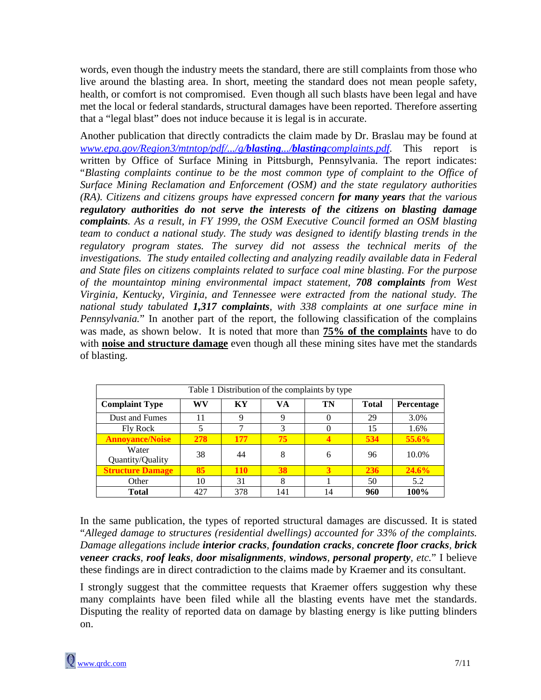words, even though the industry meets the standard, there are still complaints from those who live around the blasting area. In short, meeting the standard does not mean people safety, health, or comfort is not compromised. Even though all such blasts have been legal and have met the local or federal standards, structural damages have been reported. Therefore asserting that a "legal blast" does not induce because it is legal is in accurate.

Another publication that directly contradicts the claim made by Dr. Braslau may be found at *[www.epa.gov/Region3/mtntop/pdf/.../g/](http://www.epa.gov/Region3/mtntop/pdf/.../g/blasting.../blastingcomplaints.pdf)blasting.../blastingcomplaints.pdf*. This report is written by Office of Surface Mining in Pittsburgh, Pennsylvania. The report indicates: "*Blasting complaints continue to be the most common type of complaint to the Office of Surface Mining Reclamation and Enforcement (OSM) and the state regulatory authorities (RA). Citizens and citizens groups have expressed concern for many years that the various regulatory authorities do not serve the interests of the citizens on blasting damage complaints. As a result, in FY 1999, the OSM Executive Council formed an OSM blasting team to conduct a national study. The study was designed to identify blasting trends in the regulatory program states. The survey did not assess the technical merits of the investigations. The study entailed collecting and analyzing readily available data in Federal and State files on citizens complaints related to surface coal mine blasting. For the purpose of the mountaintop mining environmental impact statement, 708 complaints from West Virginia, Kentucky, Virginia, and Tennessee were extracted from the national study. The national study tabulated 1,317 complaints, with 338 complaints at one surface mine in Pennsylvania.*" In another part of the report, the following classification of the complains was made, as shown below. It is noted that more than **75% of the complaints** have to do with **noise and structure damage** even though all these mining sites have met the standards of blasting.

| Table 1 Distribution of the complaints by type |     |            |           |    |              |                   |
|------------------------------------------------|-----|------------|-----------|----|--------------|-------------------|
| <b>Complaint Type</b>                          | WV  | KY         | <b>VA</b> | TN | <b>Total</b> | <b>Percentage</b> |
| Dust and Fumes                                 | 11  | 9          | 9         |    | 29           | 3.0%              |
| <b>Fly Rock</b>                                | 5   | ⇁          | 3         |    | 15           | 1.6%              |
| <b>Annovance/Noise</b>                         | 278 | 177        | 75        |    | 534          | 55.6%             |
| Water<br>Quantity/Quality                      | 38  | 44         | 8         | 6  | 96           | 10.0%             |
| <b>Structure Damage</b>                        | 85  | <b>110</b> | 38        | 3  | 236          | 24.6%             |
| Other                                          | 10  | 31         | 8         |    | 50           | 5.2               |
| Total                                          | 427 | 378        | 141       | 14 | 960          | 100%              |

In the same publication, the types of reported structural damages are discussed. It is stated "*Alleged damage to structures (residential dwellings) accounted for 33% of the complaints. Damage allegations include interior cracks, foundation cracks, concrete floor cracks, brick veneer cracks, roof leaks, door misalignments, windows, personal property, etc.*" I believe these findings are in direct contradiction to the claims made by Kraemer and its consultant.

I strongly suggest that the committee requests that Kraemer offers suggestion why these many complaints have been filed while all the blasting events have met the standards. Disputing the reality of reported data on damage by blasting energy is like putting blinders on.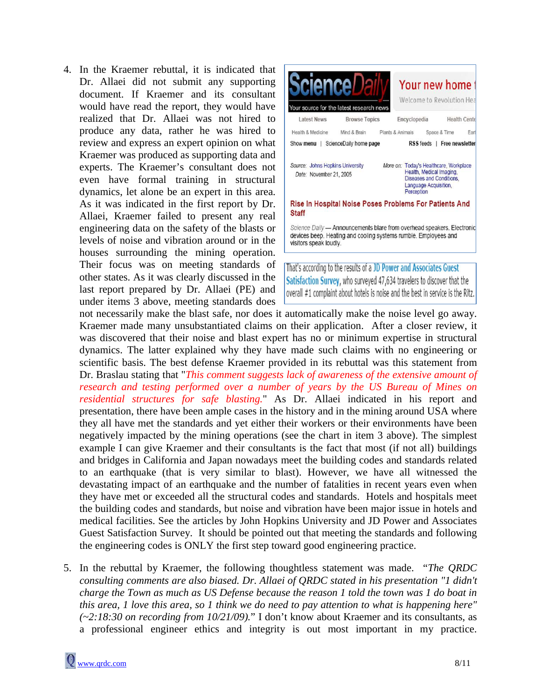4. In the Kraemer rebuttal, it is indicated that Dr. Allaei did not submit any supporting document. If Kraemer and its consultant would have read the report, they would have realized that Dr. Allaei was not hired to produce any data, rather he was hired to review and express an expert opinion on what Kraemer was produced as supporting data and experts. The Kraemer's consultant does not even have formal training in structural dynamics, let alone be an expert in this area. As it was indicated in the first report by Dr. Allaei, Kraemer failed to present any real engineering data on the safety of the blasts or levels of noise and vibration around or in the houses surrounding the mining operation. Their focus was on meeting standards of other states. As it was clearly discussed in the last report prepared by Dr. Allaei (PE) and under items 3 above, meeting standards does



Satisfaction Survey, who surveyed 47,634 travelers to discover that the overall #1 complaint about hotels is noise and the best in service is the Ritz.

not necessarily make the blast safe, nor does it automatically make the noise level go away. Kraemer made many unsubstantiated claims on their application. After a closer review, it was discovered that their noise and blast expert has no or minimum expertise in structural dynamics. The latter explained why they have made such claims with no engineering or scientific basis. The best defense Kraemer provided in its rebuttal was this statement from Dr. Braslau stating that "*This comment suggests lack of awareness of the extensive amount of research and testing performed over a number of years by the US Bureau of Mines on residential structures for safe blasting.*" As Dr. Allaei indicated in his report and presentation, there have been ample cases in the history and in the mining around USA where they all have met the standards and yet either their workers or their environments have been negatively impacted by the mining operations (see the chart in item 3 above). The simplest example I can give Kraemer and their consultants is the fact that most (if not all) buildings and bridges in California and Japan nowadays meet the building codes and standards related to an earthquake (that is very similar to blast). However, we have all witnessed the devastating impact of an earthquake and the number of fatalities in recent years even when they have met or exceeded all the structural codes and standards. Hotels and hospitals meet the building codes and standards, but noise and vibration have been major issue in hotels and medical facilities. See the articles by John Hopkins University and JD Power and Associates Guest Satisfaction Survey. It should be pointed out that meeting the standards and following the engineering codes is ONLY the first step toward good engineering practice.

5. In the rebuttal by Kraemer, the following thoughtless statement was made. "*The QRDC consulting comments are also biased. Dr. Allaei of QRDC stated in his presentation "1 didn't charge the Town as much as US Defense because the reason 1 told the town was 1 do boat in this area, 1 love this area, so 1 think we do need to pay attention to what is happening here" (~2:18:30 on recording from 10/21/09).*" I don't know about Kraemer and its consultants, as a professional engineer ethics and integrity is out most important in my practice.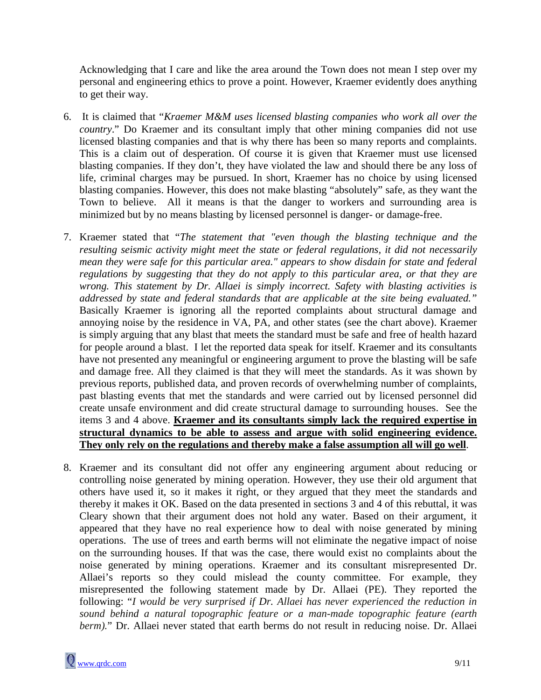Acknowledging that I care and like the area around the Town does not mean I step over my personal and engineering ethics to prove a point. However, Kraemer evidently does anything to get their way.

- 6. It is claimed that "*Kraemer M&M uses licensed blasting companies who work all over the country*." Do Kraemer and its consultant imply that other mining companies did not use licensed blasting companies and that is why there has been so many reports and complaints. This is a claim out of desperation. Of course it is given that Kraemer must use licensed blasting companies. If they don't, they have violated the law and should there be any loss of life, criminal charges may be pursued. In short, Kraemer has no choice by using licensed blasting companies. However, this does not make blasting "absolutely" safe, as they want the Town to believe. All it means is that the danger to workers and surrounding area is minimized but by no means blasting by licensed personnel is danger- or damage-free.
- 7. Kraemer stated that "*The statement that "even though the blasting technique and the resulting seismic activity might meet the state or federal regulations, it did not necessarily mean they were safe for this particular area." appears to show disdain for state and federal regulations by suggesting that they do not apply to this particular area, or that they are wrong. This statement by Dr. Allaei is simply incorrect. Safety with blasting activities is addressed by state and federal standards that are applicable at the site being evaluated."* Basically Kraemer is ignoring all the reported complaints about structural damage and annoying noise by the residence in VA, PA, and other states (see the chart above). Kraemer is simply arguing that any blast that meets the standard must be safe and free of health hazard for people around a blast. I let the reported data speak for itself. Kraemer and its consultants have not presented any meaningful or engineering argument to prove the blasting will be safe and damage free. All they claimed is that they will meet the standards. As it was shown by previous reports, published data, and proven records of overwhelming number of complaints, past blasting events that met the standards and were carried out by licensed personnel did create unsafe environment and did create structural damage to surrounding houses. See the items 3 and 4 above. **Kraemer and its consultants simply lack the required expertise in structural dynamics to be able to assess and argue with solid engineering evidence. They only rely on the regulations and thereby make a false assumption all will go well** .
- 8. Kraemer and its consultant did not offer any engineering argument about reducing or controlling noise generated by mining operation. However, they use their old argument that others have used it, so it makes it right, or they argued that they meet the standards and thereby it makes it OK. Based on the data presented in sections 3 and 4 of this rebuttal, it was Cleary shown that their argument does not hold any water. Based on their argument, it appeared that they have no real experience how to deal with noise generated by mining operations. The use of trees and earth berms will not eliminate the negative impact of noise on the surrounding houses. If that was the case, there would exist no complaints about the noise generated by mining operations. Kraemer and its consultant misrepresented Dr. Allaei's reports so they could mislead the county committee. For example, they misrepresented the following statement made by Dr. Allaei (PE). They reported the following: "*I would be very surprised if Dr. Allaei has never experienced the reduction in sound behind a natural topographic feature or a man-made topographic feature (earth berm*)." Dr. Allaei never stated that earth berms do not result in reducing noise. Dr. Allaei

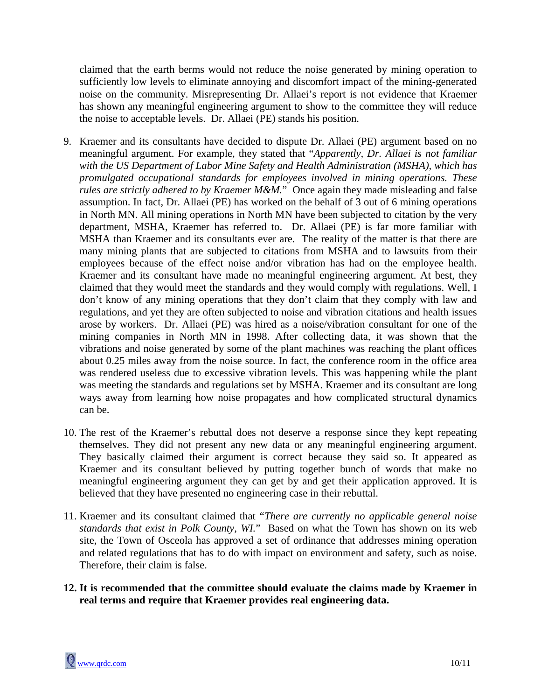claimed that the earth berms would not reduce the noise generated by mining operation to sufficiently low levels to eliminate annoying and discomfort impact of the mining-generated noise on the community. Misrepresenting Dr. Allaei's report is not evidence that Kraemer has shown any meaningful engineering argument to show to the committee they will reduce the noise to acceptable levels. Dr. Allaei (PE) stands his position.

- 9. Kraemer and its consultants have decided to dispute Dr. Allaei (PE) argument based on no meaningful argument. For example, they stated that "*Apparently, Dr. Allaei is not familiar with the US Department of Labor Mine Safety and Health Administration (MSHA), which has promulgated occupational standards for employees involved in mining operations. These rules are strictly adhered to by Kraemer M&M.*" Once again they made misleading and false assumption. In fact, Dr. Allaei (PE) has worked on the behalf of 3 out of 6 mining operations in North MN. All mining operations in North MN have been subjected to citation by the very department, MSHA, Kraemer has referred to. Dr. Allaei (PE) is far more familiar with MSHA than Kraemer and its consultants ever are. The reality of the matter is that there are many mining plants that are subjected to citations from MSHA and to lawsuits from their employees because of the effect noise and/or vibration has had on the employee health. Kraemer and its consultant have made no meaningful engineering argument. At best, they claimed that they would meet the standards and they would comply with regulations. Well, I don't know of any mining operations that they don't claim that they comply with law and regulations, and yet they are often subjected to noise and vibration citations and health issues arose by workers. Dr. Allaei (PE) was hired as a noise/vibration consultant for one of the mining companies in North MN in 1998. After collecting data, it was shown that the vibrations and noise generated by some of the plant machines was reaching the plant offices about 0.25 miles away from the noise source. In fact, the conference room in the office area was rendered useless due to excessive vibration levels. This was happening while the plant was meeting the standards and regulations set by MSHA. Kraemer and its consultant are long ways away from learning how noise propagates and how complicated structural dynamics can be.
- 10. The rest of the Kraemer's rebuttal does not deserve a response since they kept repeating themselves. They did not present any new data or any meaningful engineering argument. They basically claimed their argument is correct because they said so. It appeared as Kraemer and its consultant believed by putting together bunch of words that make no meaningful engineering argument they can get by and get their application approved. It is believed that they have presented no engineering case in their rebuttal.
- 11. Kraemer and its consultant claimed that "*There are currently no applicable general noise standards that exist in Polk County, WI.*" Based on what the Town has shown on its web site, the Town of Osceola has approved a set of ordinance that addresses mining operation and related regulations that has to do with impact on environment and safety, such as noise. Therefore, their claim is false.
- **12. It is recommended that the committee should evaluate the claims made by Kraemer in real terms and require that Kraemer provides real engineering data.**